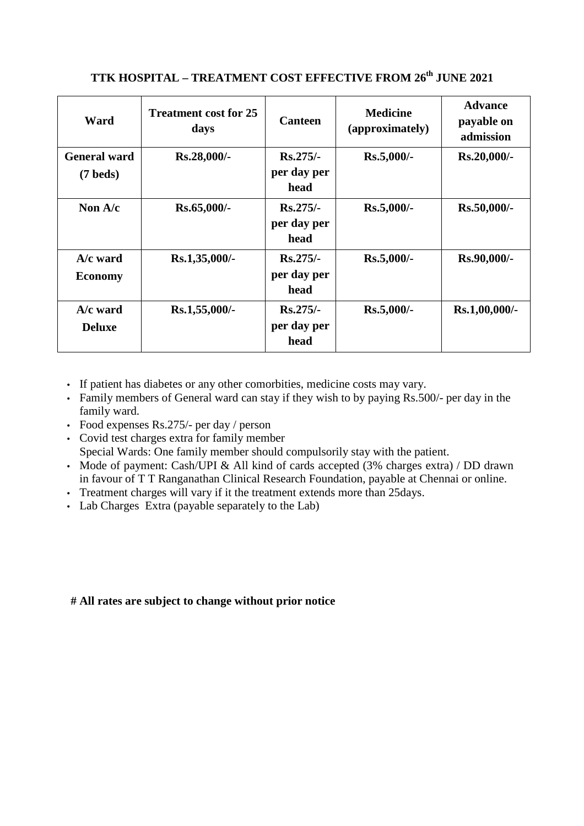## **TTK HOSPITAL – TREATMENT COST EFFECTIVE FROM 26th JUNE 2021**

| Ward                                      | <b>Treatment cost for 25</b><br>days | <b>Canteen</b>                    | <b>Medicine</b><br>(approximately) | <b>Advance</b><br>payable on<br>admission |
|-------------------------------------------|--------------------------------------|-----------------------------------|------------------------------------|-------------------------------------------|
| <b>General ward</b><br>$(7 \text{ beds})$ | Rs.28,000/-                          | $Rs.275/-$<br>per day per<br>head | Rs.5,000/-                         | Rs.20,000/-                               |
| Non $A/c$                                 | Rs.65,000/-                          | $Rs.275/-$<br>per day per<br>head | $Rs.5,000/-$                       | Rs.50,000/-                               |
| $A/c$ ward<br><b>Economy</b>              | Rs.1,35,000/-                        | $Rs.275/-$<br>per day per<br>head | Rs.5,000/-                         | Rs.90,000/-                               |
| $A/c$ ward<br><b>Deluxe</b>               | Rs.1,55,000/-                        | $Rs.275/-$<br>per day per<br>head | Rs.5,000/-                         | Rs.1,00,000/-                             |

- If patient has diabetes or any other comorbities, medicine costs may vary.
- Family members of General ward can stay if they wish to by paying Rs.500/- per day in the family ward.
- Food expenses Rs.275/- per day / person
- Covid test charges extra for family member Special Wards: One family member should compulsorily stay with the patient.
- Mode of payment: Cash/UPI & All kind of cards accepted (3% charges extra) / DD drawn in favour of T T Ranganathan Clinical Research Foundation, payable at Chennai or online.
- Treatment charges will vary if it the treatment extends more than 25 days.
- Lab Charges Extra (payable separately to the Lab)

## **# All rates are subject to change without prior notice**